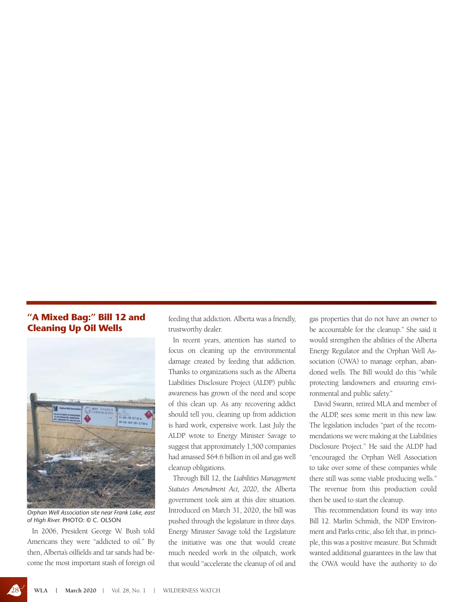## **"A Mixed Bag:" Bill 12 and Cleaning Up Oil Wells**



*Orphan Well Association site near Frank Lake, east of High River.* PHOTO: © C. OLSON

In 2006, President George W. Bush told Americans they were "addicted to oil." By then, Alberta's oilfields and tar sands had become the most important stash of foreign oil feeding that addiction. Alberta was a friendly, trustworthy dealer.

In recent years, attention has started to focus on cleaning up the environmental damage created by feeding that addiction. Thanks to organizations such as the Alberta Liabilities Disclosure Project (ALDP) public awareness has grown of the need and scope of this clean up. As any recovering addict should tell you, cleaning up from addiction is hard work, expensive work. Last July the ALDP wrote to Energy Minister Savage to suggest that approximately 1,500 companies had amassed \$64.6 billion in oil and gas well cleanup obligations.

Through Bill 12, the *Liabilities Management Statutes Amendment Act, 2020*, the Alberta government took aim at this dire situation. Introduced on March 31, 2020, the bill was pushed through the legislature in three days. Energy Minister Savage told the Legislature the initiative was one that would create much needed work in the oilpatch, work that would "accelerate the cleanup of oil and

gas properties that do not have an owner to be accountable for the cleanup." She said it would strengthen the abilities of the Alberta Energy Regulator and the Orphan Well Association (OWA) to manage orphan, abandoned wells. The Bill would do this "while protecting landowners and ensuring environmental and public safety."

David Swann, retired MLA and member of the ALDP, sees some merit in this new law. The legislation includes "part of the recommendations we were making at the Liabilities Disclosure Project." He said the ALDP had "encouraged the Orphan Well Association to take over some of these companies while there still was some viable producing wells." The revenue from this production could then be used to start the cleanup.

This recommendation found its way into Bill 12. Marlin Schmidt, the NDP Environment and Parks critic, also felt that, in principle, this was a positive measure. But Schmidt wanted additional guarantees in the law that the OWA would have the authority to do